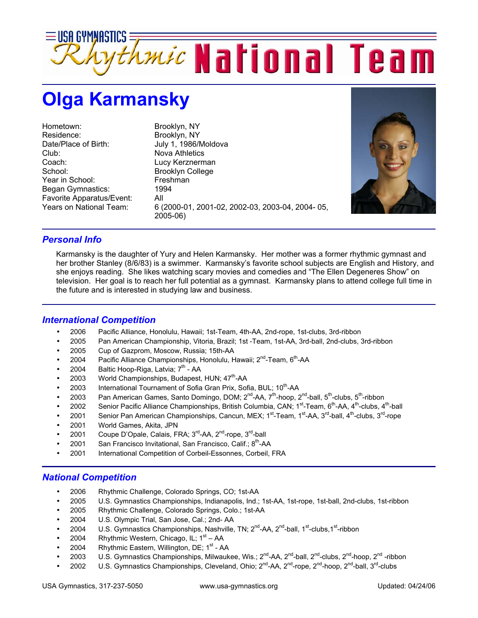

## **Olga Karmansky**

Hometown: Brooklyn, NY Residence: Brooklyn, NY Date/Place of Birth: July 1, 1986/Moldova Club: Nova Athletics Coach: Lucy Kerznerman School: Brooklyn College Year in School: Freshman<br>Began Gymnastics: 1994 Began Gymnastics: Favorite Apparatus/Event: All

Years on National Team: 6 (2000-01, 2001-02, 2002-03, 2003-04, 2004- 05, 2005-06)



## *Personal Info*

Karmansky is the daughter of Yury and Helen Karmansky. Her mother was a former rhythmic gymnast and her brother Stanley (8/6/83) is a swimmer. Karmansky's favorite school subjects are English and History, and she enjoys reading. She likes watching scary movies and comedies and "The Ellen Degeneres Show" on television. Her goal is to reach her full potential as a gymnast. Karmansky plans to attend college full time in the future and is interested in studying law and business.

## *International Competition*

- 2006 Pacific Alliance, Honolulu, Hawaii; 1st-Team, 4th-AA, 2nd-rope, 1st-clubs, 3rd-ribbon
- 2005 Pan American Championship, Vitoria, Brazil; 1st -Team, 1st-AA, 3rd-ball, 2nd-clubs, 3rd-ribbon
- 2005 Cup of Gazprom, Moscow, Russia; 15th-AA
- 2004 Pacific Alliance Championships, Honolulu, Hawaii; 2<sup>nd</sup>-Team, 6<sup>th</sup>-AA
- 2004 Baltic Hoop-Riga, Latvia;  $7<sup>th</sup>$  AA
- 2003 World Championships, Budapest, HUN; 47<sup>th</sup>-AA
- 2003 International Tournament of Sofia Gran Prix, Sofia, BUL; 10<sup>th</sup>-AA
- 2003 Pan American Games, Santo Domingo, DOM; 2<sup>nd</sup>-AA, 7<sup>th</sup>-hoop, 2<sup>nd</sup>-ball, 5<sup>th</sup>-clubs, 5<sup>th</sup>-ribbon
- 2002 Senior Pacific Alliance Championships, British Columbia, CAN;  $1^{st}$ -Team,  $6^{th}$ -AA,  $4^{th}$ -clubs,  $4^{th}$ -ball
- 2001 Senior Pan American Championships, Cancun, MEX;  $1^{st}$ -Team,  $1^{st}$ -AA,  $3^{rd}$ -ball,  $4^{th}$ -clubs,  $3^{rd}$ -rope
- 2001 World Games, Akita, JPN
- 2001 Coupe D'Opale, Calais, FRA; 3<sup>rd</sup>-AA, 2<sup>nd</sup>-rope, 3<sup>rd</sup>-ball
- 2001 San Francisco Invitational, San Francisco, Calif.;  $8<sup>th</sup>$ -AA
- 2001 International Competition of Corbeil-Essonnes, Corbeil, FRA

## *National Competition*

- 2006 Rhythmic Challenge, Colorado Springs, CO; 1st-AA
- 2005 U.S. Gymnastics Championships, Indianapolis, Ind.; 1st-AA, 1st-rope, 1st-ball, 2nd-clubs, 1st-ribbon
- 2005 Rhythmic Challenge, Colorado Springs, Colo.; 1st-AA
- 2004 U.S. Olympic Trial, San Jose, Cal.; 2nd- AA
- 2004 U.S. Gymnastics Championships, Nashville, TN; 2<sup>nd</sup>-AA, 2<sup>nd</sup>-ball, 1<sup>st</sup>-clubs, 1<sup>st</sup>-ribbon
- 2004 Rhythmic Western, Chicago, IL;  $1<sup>st</sup> AA$
- 2004 Rhythmic Eastern, Willington, DE;  $1<sup>st</sup>$  AA
- 2003 U.S. Gymnastics Championships, Milwaukee, Wis.; 2<sup>nd</sup>-AA, 2<sup>nd</sup>-ball, 2<sup>nd</sup>-clubs, 2<sup>nd</sup>-hoop, 2<sup>nd</sup>-ribbon
- 2002 U.S. Gymnastics Championships, Cleveland, Ohio;  $2^{nd}$ -AA,  $2^{nd}$ -rope,  $2^{nd}$ -hoop,  $2^{nd}$ -ball,  $3^{rd}$ -clubs